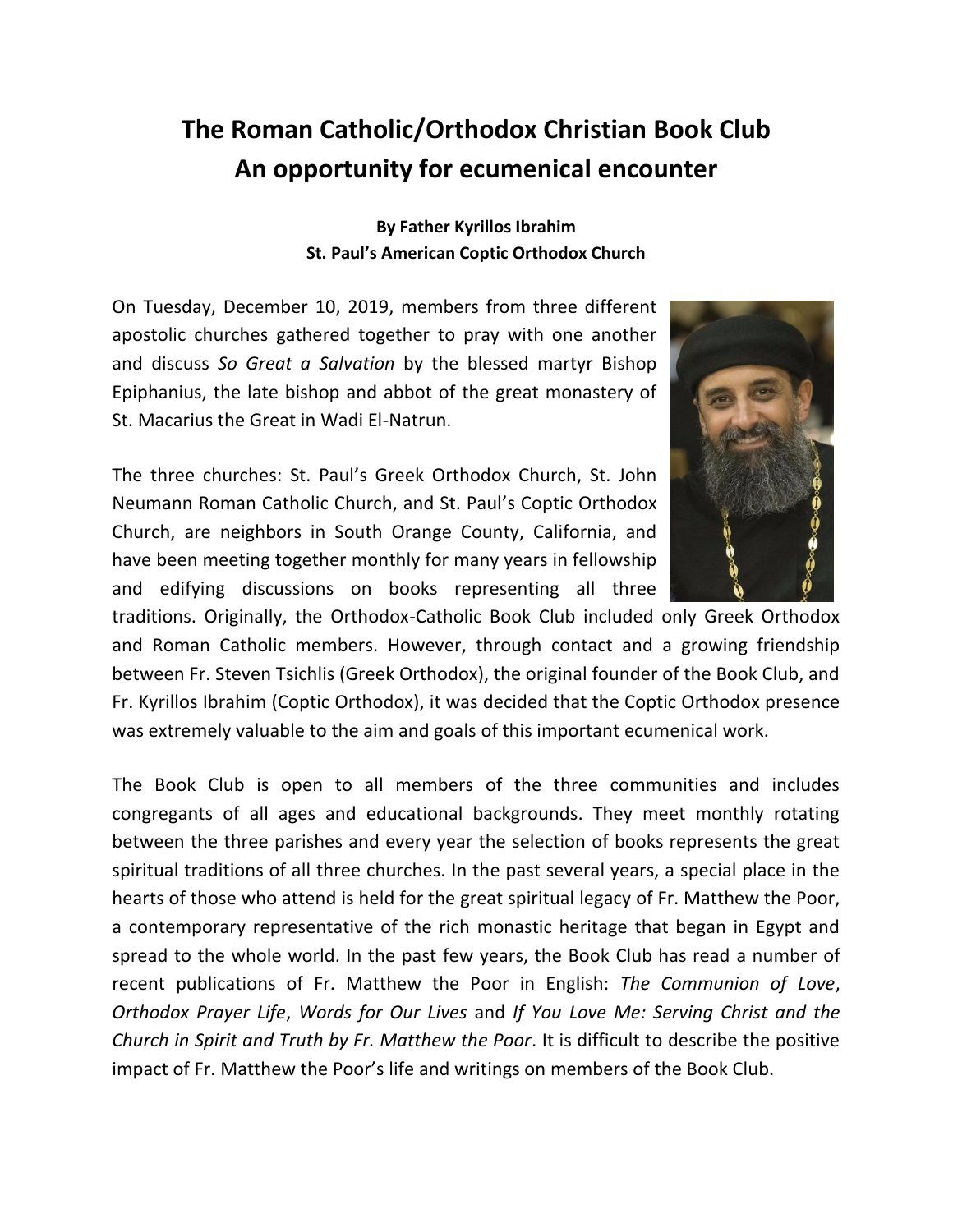## **The Roman Catholic/Orthodox Christian Book Club An opportunity for ecumenical encounter**

**By Father Kyrillos Ibrahim St. Paul's American Coptic Orthodox Church**

On Tuesday, December 10, 2019, members from three different apostolic churches gathered together to pray with one another and discuss *So Great a Salvation* by the blessed martyr Bishop Epiphanius, the late bishop and abbot of the great monastery of St. Macarius the Great in Wadi El-Natrun.

The three churches: St. Paul's Greek Orthodox Church, St. John Neumann Roman Catholic Church, and St. Paul's Coptic Orthodox Church, are neighbors in South Orange County, California, and have been meeting together monthly for many years in fellowship and edifying discussions on books representing all three



traditions. Originally, the Orthodox-Catholic Book Club included only Greek Orthodox and Roman Catholic members. However, through contact and a growing friendship between Fr. Steven Tsichlis (Greek Orthodox), the original founder of the Book Club, and Fr. Kyrillos Ibrahim (Coptic Orthodox), it was decided that the Coptic Orthodox presence was extremely valuable to the aim and goals of this important ecumenical work.

The Book Club is open to all members of the three communities and includes congregants of all ages and educational backgrounds. They meet monthly rotating between the three parishes and every year the selection of books represents the great spiritual traditions of all three churches. In the past several years, a special place in the hearts of those who attend is held for the great spiritual legacy of Fr. Matthew the Poor, a contemporary representative of the rich monastic heritage that began in Egypt and spread to the whole world. In the past few years, the Book Club has read a number of recent publications of Fr. Matthew the Poor in English: *The Communion of Love*, *Orthodox Prayer Life*, *Words for Our Lives* and *If You Love Me: Serving Christ and the Church in Spirit and Truth by Fr. Matthew the Poor*. It is difficult to describe the positive impact of Fr. Matthew the Poor's life and writings on members of the Book Club.